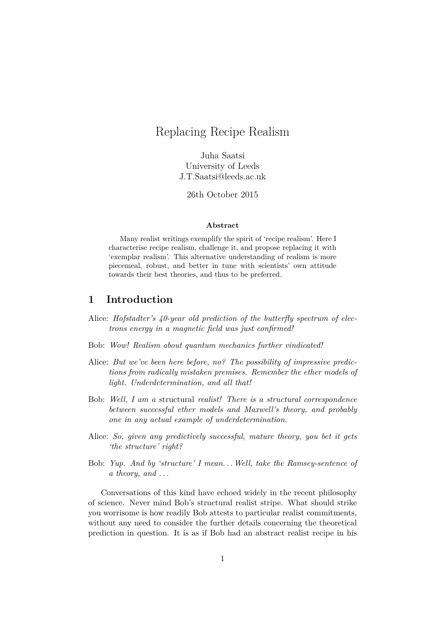# Replacing Recipe Realism

Juha Saatsi University of Leeds J.T.Saatsi@leeds.ac.uk

26th October 2015

#### **Abstract**

Many realist writings exemplify the spirit of 'recipe realism'. Here I characterise recipe realism, challenge it, and propose replacing it with 'exemplar realism'. This alternative understanding of realism is more piecemeal, robust, and better in tune with scientists' own attitude towards their best theories, and thus to be preferred.

# **1 Introduction**

- Alice: *Hofstadter's 40-year old prediction of the butterfly spectrum of electrons energy in a magnetic field was just confirmed!*
- Bob: *Wow! Realism about quantum mechanics further vindicated!*
- Alice: *But we've been here before, no? The possibility of impressive predictions from radically mistaken premises. Remember the ether models of light. Underdetermination, and all that!*
- Bob: *Well, I am a* structural *realist! There is a structural correspondence between successful ether models and Maxwell's theory, and probably one in any actual example of underdetermination.*
- Alice: *So, given any predictively successful, mature theory, you bet it gets 'the structure' right?*
- Bob: *Yup. And by 'structure' I mean. . .Well, take the Ramsey-sentence of a theory, and . . .*

Conversations of this kind have echoed widely in the recent philosophy of science. Never mind Bob's structural realist stripe. What should strike you worrisome is how readily Bob attests to particular realist commitments, without any need to consider the further details concerning the theoretical prediction in question. It is as if Bob had an abstract realist recipe in his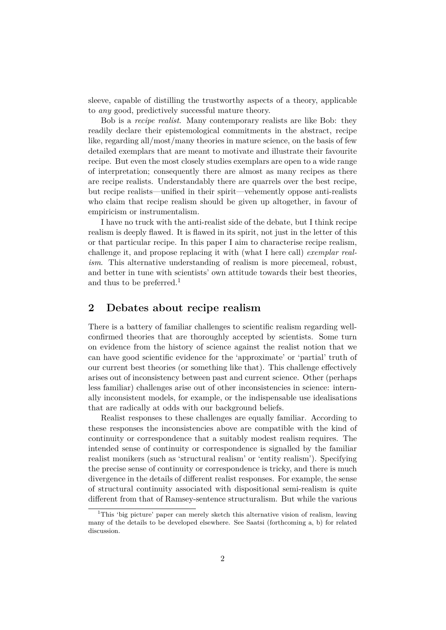sleeve, capable of distilling the trustworthy aspects of a theory, applicable to *any* good, predictively successful mature theory.

Bob is a *recipe realist*. Many contemporary realists are like Bob: they readily declare their epistemological commitments in the abstract, recipe like, regarding all/most/many theories in mature science, on the basis of few detailed exemplars that are meant to motivate and illustrate their favourite recipe. But even the most closely studies exemplars are open to a wide range of interpretation; consequently there are almost as many recipes as there are recipe realists. Understandably there are quarrels over the best recipe, but recipe realists—unified in their spirit—vehemently oppose anti-realists who claim that recipe realism should be given up altogether, in favour of empiricism or instrumentalism.

I have no truck with the anti-realist side of the debate, but I think recipe realism is deeply flawed. It is flawed in its spirit, not just in the letter of this or that particular recipe. In this paper I aim to characterise recipe realism, challenge it, and propose replacing it with (what I here call) *exemplar realism*. This alternative understanding of realism is more piecemeal, robust, and better in tune with scientists' own attitude towards their best theories, and thus to be preferred.<sup>1</sup>

## **2 Debates about recipe realism**

There is a battery of familiar challenges to scientific realism regarding wellconfirmed theories that are thoroughly accepted by scientists. Some turn on evidence from the history of science against the realist notion that we can have good scientific evidence for the 'approximate' or 'partial' truth of our current best theories (or something like that). This challenge effectively arises out of inconsistency between past and current science. Other (perhaps less familiar) challenges arise out of other inconsistencies in science: internally inconsistent models, for example, or the indispensable use idealisations that are radically at odds with our background beliefs.

Realist responses to these challenges are equally familiar. According to these responses the inconsistencies above are compatible with the kind of continuity or correspondence that a suitably modest realism requires. The intended sense of continuity or correspondence is signalled by the familiar realist monikers (such as 'structural realism' or 'entity realism'). Specifying the precise sense of continuity or correspondence is tricky, and there is much divergence in the details of different realist responses. For example, the sense of structural continuity associated with dispositional semi-realism is quite different from that of Ramsey-sentence structuralism. But while the various

<sup>&</sup>lt;sup>1</sup>This 'big picture' paper can merely sketch this alternative vision of realism, leaving many of the details to be developed elsewhere. See Saatsi (forthcoming a, b) for related discussion.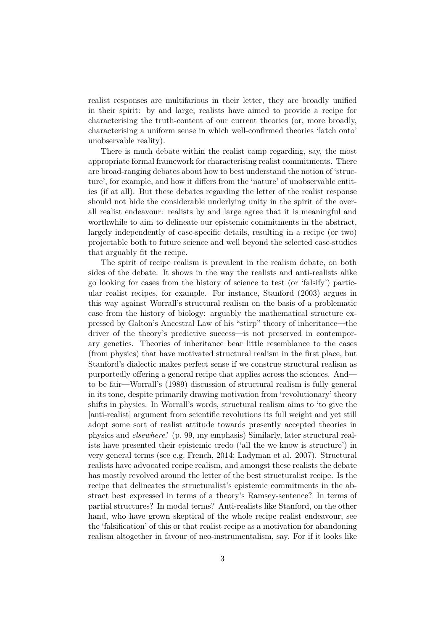realist responses are multifarious in their letter, they are broadly unified in their spirit: by and large, realists have aimed to provide a recipe for characterising the truth-content of our current theories (or, more broadly, characterising a uniform sense in which well-confirmed theories 'latch onto' unobservable reality).

There is much debate within the realist camp regarding, say, the most appropriate formal framework for characterising realist commitments. There are broad-ranging debates about how to best understand the notion of 'structure', for example, and how it differs from the 'nature' of unobservable entities (if at all). But these debates regarding the letter of the realist response should not hide the considerable underlying unity in the spirit of the overall realist endeavour: realists by and large agree that it is meaningful and worthwhile to aim to delineate our epistemic commitments in the abstract, largely independently of case-specific details, resulting in a recipe (or two) projectable both to future science and well beyond the selected case-studies that arguably fit the recipe.

The spirit of recipe realism is prevalent in the realism debate, on both sides of the debate. It shows in the way the realists and anti-realists alike go looking for cases from the history of science to test (or 'falsify') particular realist recipes, for example. For instance, Stanford (2003) argues in this way against Worrall's structural realism on the basis of a problematic case from the history of biology: arguably the mathematical structure expressed by Galton's Ancestral Law of his "stirp" theory of inheritance—the driver of the theory's predictive success—is not preserved in contemporary genetics. Theories of inheritance bear little resemblance to the cases (from physics) that have motivated structural realism in the first place, but Stanford's dialectic makes perfect sense if we construe structural realism as purportedly offering a general recipe that applies across the sciences. And to be fair—Worrall's (1989) discussion of structural realism is fully general in its tone, despite primarily drawing motivation from 'revolutionary' theory shifts in physics. In Worrall's words, structural realism aims to 'to give the [anti-realist] argument from scientific revolutions its full weight and yet still adopt some sort of realist attitude towards presently accepted theories in physics and *elsewhere*.' (p. 99, my emphasis) Similarly, later structural realists have presented their epistemic credo ('all the we know is structure') in very general terms (see e.g. French, 2014; Ladyman et al. 2007). Structural realists have advocated recipe realism, and amongst these realists the debate has mostly revolved around the letter of the best structuralist recipe. Is the recipe that delineates the structuralist's epistemic commitments in the abstract best expressed in terms of a theory's Ramsey-sentence? In terms of partial structures? In modal terms? Anti-realists like Stanford, on the other hand, who have grown skeptical of the whole recipe realist endeavour, see the 'falsification' of this or that realist recipe as a motivation for abandoning realism altogether in favour of neo-instrumentalism, say. For if it looks like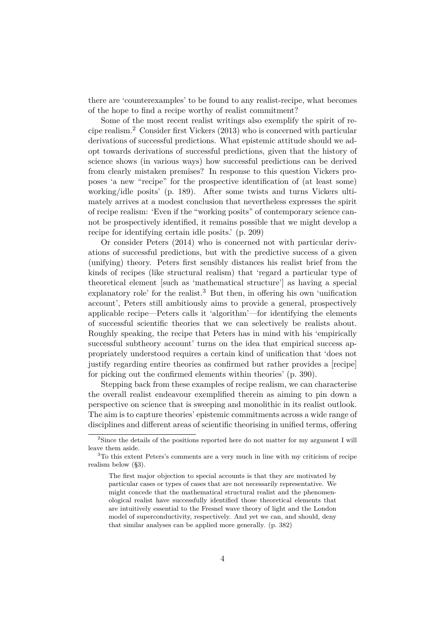there are 'counterexamples' to be found to any realist-recipe, what becomes of the hope to find a recipe worthy of realist commitment?

Some of the most recent realist writings also exemplify the spirit of recipe realism.<sup>2</sup> Consider first Vickers (2013) who is concerned with particular derivations of successful predictions. What epistemic attitude should we adopt towards derivations of successful predictions, given that the history of science shows (in various ways) how successful predictions can be derived from clearly mistaken premises? In response to this question Vickers proposes 'a new "recipe" for the prospective identification of (at least some) working/idle posits' (p. 189). After some twists and turns Vickers ultimately arrives at a modest conclusion that nevertheless expresses the spirit of recipe realism: 'Even if the "working posits" of contemporary science cannot be prospectively identified, it remains possible that we might develop a recipe for identifying certain idle posits.' (p. 209)

Or consider Peters (2014) who is concerned not with particular derivations of successful predictions, but with the predictive success of a given (unifying) theory. Peters first sensibly distances his realist brief from the kinds of recipes (like structural realism) that 'regard a particular type of theoretical element [such as 'mathematical structure'] as having a special explanatory role' for the realist.<sup>3</sup> But then, in offering his own 'unification account', Peters still ambitiously aims to provide a general, prospectively applicable recipe—Peters calls it 'algorithm'—for identifying the elements of successful scientific theories that we can selectively be realists about. Roughly speaking, the recipe that Peters has in mind with his 'empirically successful subtheory account' turns on the idea that empirical success appropriately understood requires a certain kind of unification that 'does not justify regarding entire theories as confirmed but rather provides a [recipe] for picking out the confirmed elements within theories' (p. 390).

Stepping back from these examples of recipe realism, we can characterise the overall realist endeavour exemplified therein as aiming to pin down a perspective on science that is sweeping and monolithic in its realist outlook. The aim is to capture theories' epistemic commitments across a wide range of disciplines and different areas of scientific theorising in unified terms, offering

<sup>2</sup>Since the details of the positions reported here do not matter for my argument I will leave them aside.

<sup>3</sup>To this extent Peters's comments are a very much in line with my criticism of recipe realism below (§3).

The first major objection to special accounts is that they are motivated by particular cases or types of cases that are not necessarily representative. We might concede that the mathematical structural realist and the phenomenological realist have successfully identified those theoretical elements that are intuitively essential to the Fresnel wave theory of light and the London model of superconductivity, respectively. And yet we can, and should, deny that similar analyses can be applied more generally. (p. 382)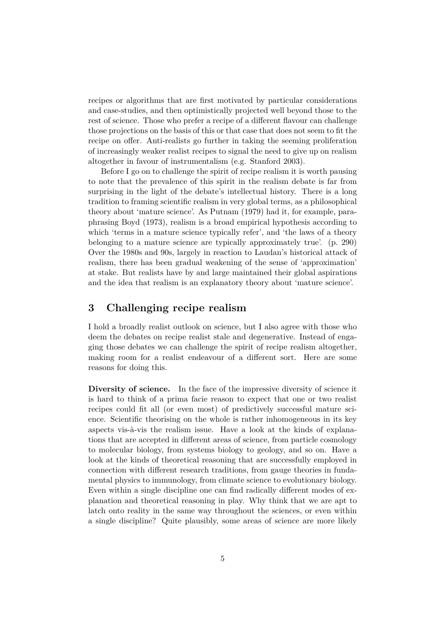recipes or algorithms that are first motivated by particular considerations and case-studies, and then optimistically projected well beyond those to the rest of science. Those who prefer a recipe of a different flavour can challenge those projections on the basis of this or that case that does not seem to fit the recipe on offer. Anti-realists go further in taking the seeming proliferation of increasingly weaker realist recipes to signal the need to give up on realism altogether in favour of instrumentalism (e.g. Stanford 2003).

Before I go on to challenge the spirit of recipe realism it is worth pausing to note that the prevalence of this spirit in the realism debate is far from surprising in the light of the debate's intellectual history. There is a long tradition to framing scientific realism in very global terms, as a philosophical theory about 'mature science'. As Putnam (1979) had it, for example, paraphrasing Boyd (1973), realism is a broad empirical hypothesis according to which 'terms in a mature science typically refer', and 'the laws of a theory belonging to a mature science are typically approximately true'. (p. 290) Over the 1980s and 90s, largely in reaction to Laudan's historical attack of realism, there has been gradual weakening of the sense of 'approximation' at stake. But realists have by and large maintained their global aspirations and the idea that realism is an explanatory theory about 'mature science'.

# **3 Challenging recipe realism**

I hold a broadly realist outlook on science, but I also agree with those who deem the debates on recipe realist stale and degenerative. Instead of engaging those debates we can challenge the spirit of recipe realism altogether, making room for a realist endeavour of a different sort. Here are some reasons for doing this.

**Diversity of science.** In the face of the impressive diversity of science it is hard to think of a prima facie reason to expect that one or two realist recipes could fit all (or even most) of predictively successful mature science. Scientific theorising on the whole is rather inhomogeneous in its key aspects vis-à-vis the realism issue. Have a look at the kinds of explanations that are accepted in different areas of science, from particle cosmology to molecular biology, from systems biology to geology, and so on. Have a look at the kinds of theoretical reasoning that are successfully employed in connection with different research traditions, from gauge theories in fundamental physics to immunology, from climate science to evolutionary biology. Even within a single discipline one can find radically different modes of explanation and theoretical reasoning in play. Why think that we are apt to latch onto reality in the same way throughout the sciences, or even within a single discipline? Quite plausibly, some areas of science are more likely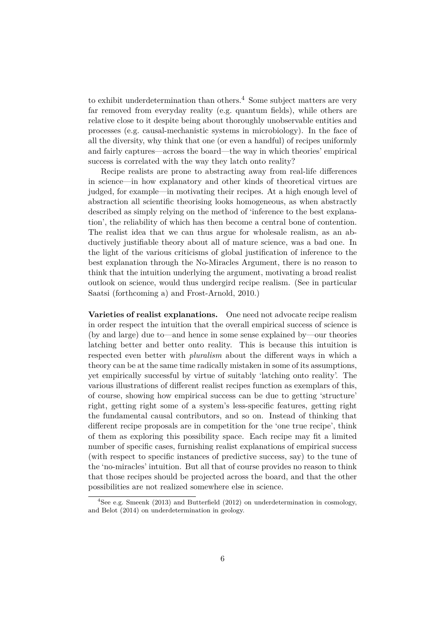to exhibit underdetermination than others.<sup>4</sup> Some subject matters are very far removed from everyday reality (e.g. quantum fields), while others are relative close to it despite being about thoroughly unobservable entities and processes (e.g. causal-mechanistic systems in microbiology). In the face of all the diversity, why think that one (or even a handful) of recipes uniformly and fairly captures—across the board—the way in which theories' empirical success is correlated with the way they latch onto reality?

Recipe realists are prone to abstracting away from real-life differences in science—in how explanatory and other kinds of theoretical virtues are judged, for example—in motivating their recipes. At a high enough level of abstraction all scientific theorising looks homogeneous, as when abstractly described as simply relying on the method of 'inference to the best explanation', the reliability of which has then become a central bone of contention. The realist idea that we can thus argue for wholesale realism, as an abductively justifiable theory about all of mature science, was a bad one. In the light of the various criticisms of global justification of inference to the best explanation through the No-Miracles Argument, there is no reason to think that the intuition underlying the argument, motivating a broad realist outlook on science, would thus undergird recipe realism. (See in particular Saatsi (forthcoming a) and Frost-Arnold, 2010.)

**Varieties of realist explanations.** One need not advocate recipe realism in order respect the intuition that the overall empirical success of science is (by and large) due to—and hence in some sense explained by—our theories latching better and better onto reality. This is because this intuition is respected even better with *pluralism* about the different ways in which a theory can be at the same time radically mistaken in some of its assumptions, yet empirically successful by virtue of suitably 'latching onto reality'. The various illustrations of different realist recipes function as exemplars of this, of course, showing how empirical success can be due to getting 'structure' right, getting right some of a system's less-specific features, getting right the fundamental causal contributors, and so on. Instead of thinking that different recipe proposals are in competition for the 'one true recipe', think of them as exploring this possibility space. Each recipe may fit a limited number of specific cases, furnishing realist explanations of empirical success (with respect to specific instances of predictive success, say) to the tune of the 'no-miracles' intuition. But all that of course provides no reason to think that those recipes should be projected across the board, and that the other possibilities are not realized somewhere else in science.

<sup>&</sup>lt;sup>4</sup>See e.g. Smeenk (2013) and Butterfield (2012) on underdetermination in cosmology, and Belot (2014) on underdetermination in geology.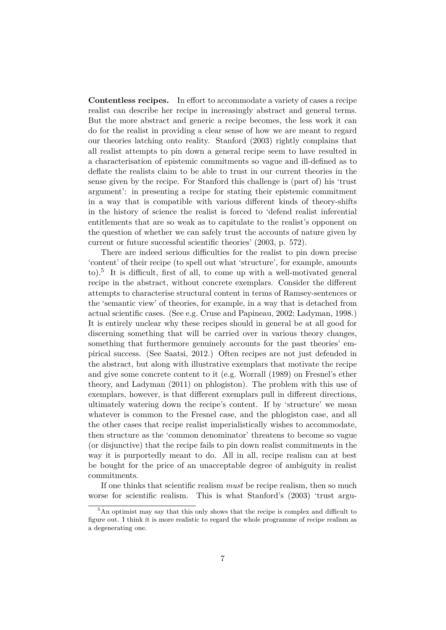**Contentless recipes.** In effort to accommodate a variety of cases a recipe realist can describe her recipe in increasingly abstract and general terms. But the more abstract and generic a recipe becomes, the less work it can do for the realist in providing a clear sense of how we are meant to regard our theories latching onto reality. Stanford (2003) rightly complains that all realist attempts to pin down a general recipe seem to have resulted in a characterisation of epistemic commitments so vague and ill-defined as to deflate the realists claim to be able to trust in our current theories in the sense given by the recipe. For Stanford this challenge is (part of) his 'trust argument': in presenting a recipe for stating their epistemic commitment in a way that is compatible with various different kinds of theory-shifts in the history of science the realist is forced to 'defend realist inferential entitlements that are so weak as to capitulate to the realist's opponent on the question of whether we can safely trust the accounts of nature given by current or future successful scientific theories' (2003, p. 572).

There are indeed serious difficulties for the realist to pin down precise 'content' of their recipe (to spell out what 'structure', for example, amounts to).<sup>5</sup> It is difficult, first of all, to come up with a well-motivated general recipe in the abstract, without concrete exemplars. Consider the different attempts to characterise structural content in terms of Ramsey-sentences or the 'semantic view' of theories, for example, in a way that is detached from actual scientific cases. (See e.g. Cruse and Papineau, 2002; Ladyman, 1998.) It is entirely unclear why these recipes should in general be at all good for discerning something that will be carried over in various theory changes, something that furthermore genuinely accounts for the past theories' empirical success. (See Saatsi, 2012.) Often recipes are not just defended in the abstract, but along with illustrative exemplars that motivate the recipe and give some concrete content to it (e.g. Worrall (1989) on Fresnel's ether theory, and Ladyman (2011) on phlogiston). The problem with this use of exemplars, however, is that different exemplars pull in different directions, ultimately watering down the recipe's content. If by 'structure' we mean whatever is common to the Fresnel case, and the phlogiston case, and all the other cases that recipe realist imperialistically wishes to accommodate, then structure as the 'common denominator' threatens to become so vague (or disjunctive) that the recipe fails to pin down realist commitments in the way it is purportedly meant to do. All in all, recipe realism can at best be bought for the price of an unacceptable degree of ambiguity in realist commitments.

If one thinks that scientific realism *must* be recipe realism, then so much worse for scientific realism. This is what Stanford's  $(2003)$  'trust argu-

<sup>&</sup>lt;sup>5</sup>An optimist may say that this only shows that the recipe is complex and difficult to figure out. I think it is more realistic to regard the whole programme of recipe realism as a degenerating one.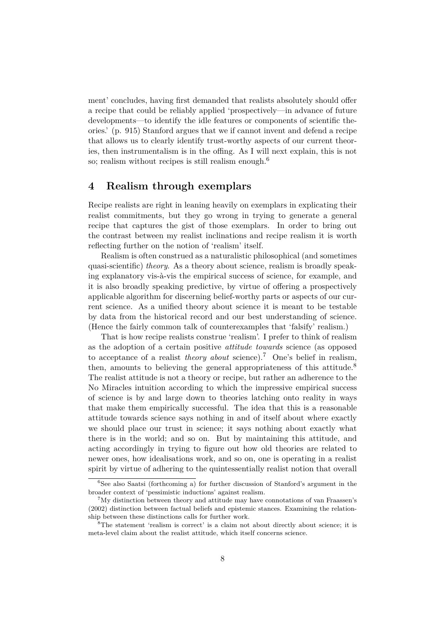ment' concludes, having first demanded that realists absolutely should offer a recipe that could be reliably applied 'prospectively—in advance of future developments—to identify the idle features or components of scientific theories.' (p. 915) Stanford argues that we if cannot invent and defend a recipe that allows us to clearly identify trust-worthy aspects of our current theories, then instrumentalism is in the offing. As I will next explain, this is not so; realism without recipes is still realism enough.<sup>6</sup>

#### **4 Realism through exemplars**

Recipe realists are right in leaning heavily on exemplars in explicating their realist commitments, but they go wrong in trying to generate a general recipe that captures the gist of those exemplars. In order to bring out the contrast between my realist inclinations and recipe realism it is worth reflecting further on the notion of 'realism' itself.

Realism is often construed as a naturalistic philosophical (and sometimes quasi-scientific) *theory*. As a theory about science, realism is broadly speaking explanatory vis-à-vis the empirical success of science, for example, and it is also broadly speaking predictive, by virtue of offering a prospectively applicable algorithm for discerning belief-worthy parts or aspects of our current science. As a unified theory about science it is meant to be testable by data from the historical record and our best understanding of science. (Hence the fairly common talk of counterexamples that 'falsify' realism.)

That is how recipe realists construe 'realism'. I prefer to think of realism as the adoption of a certain positive *attitude towards* science (as opposed to acceptance of a realist *theory about* science).<sup>7</sup> One's belief in realism, then, amounts to believing the general appropriateness of this attitude.<sup>8</sup> The realist attitude is not a theory or recipe, but rather an adherence to the No Miracles intuition according to which the impressive empirical success of science is by and large down to theories latching onto reality in ways that make them empirically successful. The idea that this is a reasonable attitude towards science says nothing in and of itself about where exactly we should place our trust in science; it says nothing about exactly what there is in the world; and so on. But by maintaining this attitude, and acting accordingly in trying to figure out how old theories are related to newer ones, how idealisations work, and so on, one is operating in a realist spirit by virtue of adhering to the quintessentially realist notion that overall

 ${}^{6}$ See also Saatsi (forthcoming a) for further discussion of Stanford's argument in the broader context of 'pessimistic inductions' against realism.

<sup>&</sup>lt;sup>7</sup>My distinction between theory and attitude may have connotations of van Fraassen's (2002) distinction between factual beliefs and epistemic stances. Examining the relationship between these distinctions calls for further work.

<sup>8</sup>The statement 'realism is correct' is a claim not about directly about science; it is meta-level claim about the realist attitude, which itself concerns science.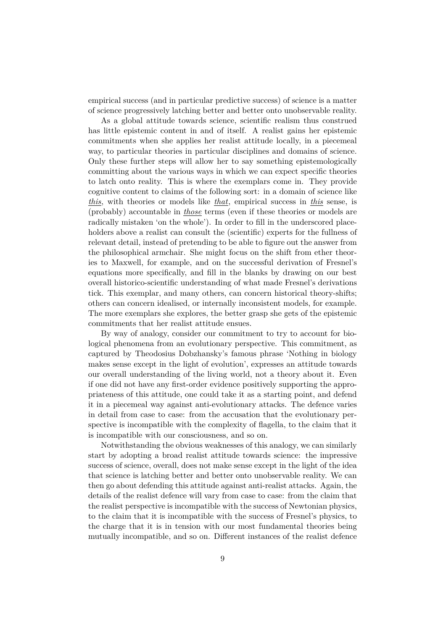empirical success (and in particular predictive success) of science is a matter of science progressively latching better and better onto unobservable reality.

As a global attitude towards science, scientific realism thus construed has little epistemic content in and of itself. A realist gains her epistemic commitments when she applies her realist attitude locally, in a piecemeal way, to particular theories in particular disciplines and domains of science. Only these further steps will allow her to say something epistemologically committing about the various ways in which we can expect specific theories to latch onto reality. This is where the exemplars come in. They provide cognitive content to claims of the following sort: in a domain of science like *this*, with theories or models like *that*, empirical success in *this* sense, is (probably) accountable in *those* terms (even if these theories or models are radically mistaken 'on the whole'). In order to fill in the underscored placeholders above a realist can consult the (scientific) experts for the fullness of relevant detail, instead of pretending to be able to figure out the answer from the philosophical armchair. She might focus on the shift from ether theories to Maxwell, for example, and on the successful derivation of Fresnel's equations more specifically, and fill in the blanks by drawing on our best overall historico-scientific understanding of what made Fresnel's derivations tick. This exemplar, and many others, can concern historical theory-shifts; others can concern idealised, or internally inconsistent models, for example. The more exemplars she explores, the better grasp she gets of the epistemic commitments that her realist attitude ensues.

By way of analogy, consider our commitment to try to account for biological phenomena from an evolutionary perspective. This commitment, as captured by Theodosius Dobzhansky's famous phrase 'Nothing in biology makes sense except in the light of evolution', expresses an attitude towards our overall understanding of the living world, not a theory about it. Even if one did not have any first-order evidence positively supporting the appropriateness of this attitude, one could take it as a starting point, and defend it in a piecemeal way against anti-evolutionary attacks. The defence varies in detail from case to case: from the accusation that the evolutionary perspective is incompatible with the complexity of flagella, to the claim that it is incompatible with our consciousness, and so on.

Notwithstanding the obvious weaknesses of this analogy, we can similarly start by adopting a broad realist attitude towards science: the impressive success of science, overall, does not make sense except in the light of the idea that science is latching better and better onto unobservable reality. We can then go about defending this attitude against anti-realist attacks. Again, the details of the realist defence will vary from case to case: from the claim that the realist perspective is incompatible with the success of Newtonian physics, to the claim that it is incompatible with the success of Fresnel's physics, to the charge that it is in tension with our most fundamental theories being mutually incompatible, and so on. Different instances of the realist defence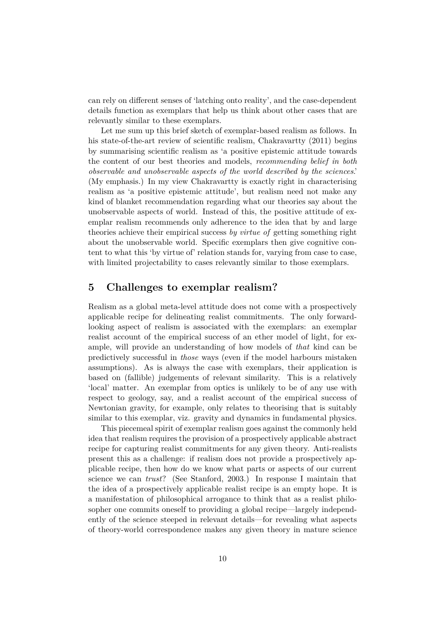can rely on different senses of 'latching onto reality', and the case-dependent details function as exemplars that help us think about other cases that are relevantly similar to these exemplars.

Let me sum up this brief sketch of exemplar-based realism as follows. In his state-of-the-art review of scientific realism, Chakravartty (2011) begins by summarising scientific realism as 'a positive epistemic attitude towards the content of our best theories and models, *recommending belief in both observable and unobservable aspects of the world described by the sciences*.' (My emphasis.) In my view Chakravartty is exactly right in characterising realism as 'a positive epistemic attitude', but realism need not make any kind of blanket recommendation regarding what our theories say about the unobservable aspects of world. Instead of this, the positive attitude of exemplar realism recommends only adherence to the idea that by and large theories achieve their empirical success *by virtue of* getting something right about the unobservable world. Specific exemplars then give cognitive content to what this 'by virtue of' relation stands for, varying from case to case, with limited projectability to cases relevantly similar to those exemplars.

### **5 Challenges to exemplar realism?**

Realism as a global meta-level attitude does not come with a prospectively applicable recipe for delineating realist commitments. The only forwardlooking aspect of realism is associated with the exemplars: an exemplar realist account of the empirical success of an ether model of light, for example, will provide an understanding of how models of *that* kind can be predictively successful in *those* ways (even if the model harbours mistaken assumptions). As is always the case with exemplars, their application is based on (fallible) judgements of relevant similarity. This is a relatively 'local' matter. An exemplar from optics is unlikely to be of any use with respect to geology, say, and a realist account of the empirical success of Newtonian gravity, for example, only relates to theorising that is suitably similar to this exemplar, viz. gravity and dynamics in fundamental physics.

This piecemeal spirit of exemplar realism goes against the commonly held idea that realism requires the provision of a prospectively applicable abstract recipe for capturing realist commitments for any given theory. Anti-realists present this as a challenge: if realism does not provide a prospectively applicable recipe, then how do we know what parts or aspects of our current science we can *trust*? (See Stanford, 2003.) In response I maintain that the idea of a prospectively applicable realist recipe is an empty hope. It is a manifestation of philosophical arrogance to think that as a realist philosopher one commits oneself to providing a global recipe—largely independently of the science steeped in relevant details—for revealing what aspects of theory-world correspondence makes any given theory in mature science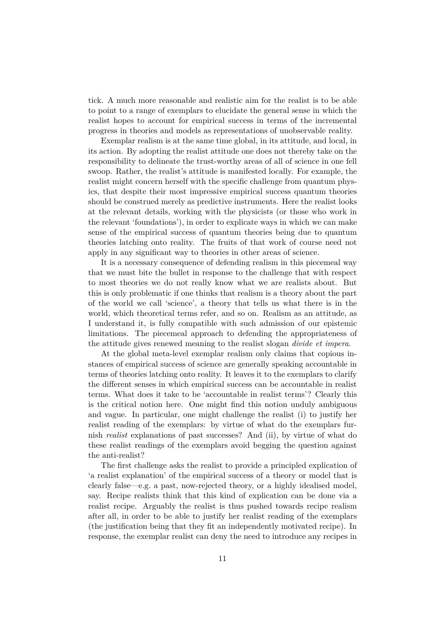tick. A much more reasonable and realistic aim for the realist is to be able to point to a range of exemplars to elucidate the general sense in which the realist hopes to account for empirical success in terms of the incremental progress in theories and models as representations of unobservable reality.

Exemplar realism is at the same time global, in its attitude, and local, in its action. By adopting the realist attitude one does not thereby take on the responsibility to delineate the trust-worthy areas of all of science in one fell swoop. Rather, the realist's attitude is manifested locally. For example, the realist might concern herself with the specific challenge from quantum physics, that despite their most impressive empirical success quantum theories should be construed merely as predictive instruments. Here the realist looks at the relevant details, working with the physicists (or those who work in the relevant 'foundations'), in order to explicate ways in which we can make sense of the empirical success of quantum theories being due to quantum theories latching onto reality. The fruits of that work of course need not apply in any significant way to theories in other areas of science.

It is a necessary consequence of defending realism in this piecemeal way that we must bite the bullet in response to the challenge that with respect to most theories we do not really know what we are realists about. But this is only problematic if one thinks that realism is a theory about the part of the world we call 'science', a theory that tells us what there is in the world, which theoretical terms refer, and so on. Realism as an attitude, as I understand it, is fully compatible with such admission of our epistemic limitations. The piecemeal approach to defending the appropriateness of the attitude gives renewed meaning to the realist slogan *divide et impera*.

At the global meta-level exemplar realism only claims that copious instances of empirical success of science are generally speaking accountable in terms of theories latching onto reality. It leaves it to the exemplars to clarify the different senses in which empirical success can be accountable in realist terms. What does it take to be 'accountable in realist terms'? Clearly this is the critical notion here. One might find this notion unduly ambiguous and vague. In particular, one might challenge the realist (i) to justify her realist reading of the exemplars: by virtue of what do the exemplars furnish *realist* explanations of past successes? And (ii), by virtue of what do these realist readings of the exemplars avoid begging the question against the anti-realist?

The first challenge asks the realist to provide a principled explication of 'a realist explanation' of the empirical success of a theory or model that is clearly false—e.g. a past, now-rejected theory, or a highly idealised model, say. Recipe realists think that this kind of explication can be done via a realist recipe. Arguably the realist is thus pushed towards recipe realism after all, in order to be able to justify her realist reading of the exemplars (the justification being that they fit an independently motivated recipe). In response, the exemplar realist can deny the need to introduce any recipes in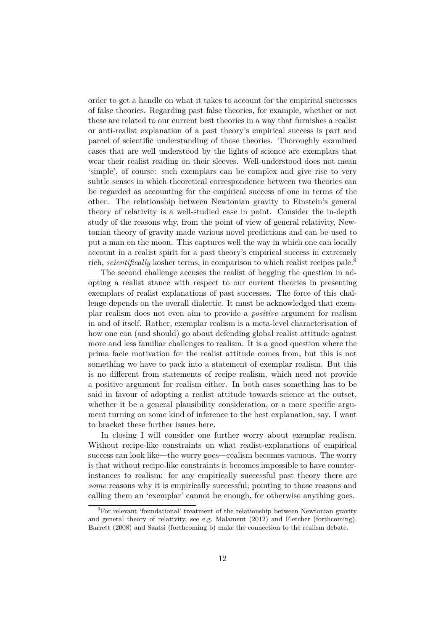order to get a handle on what it takes to account for the empirical successes of false theories. Regarding past false theories, for example, whether or not these are related to our current best theories in a way that furnishes a realist or anti-realist explanation of a past theory's empirical success is part and parcel of scientific understanding of those theories. Thoroughly examined cases that are well understood by the lights of science are exemplars that wear their realist reading on their sleeves. Well-understood does not mean 'simple', of course: such exemplars can be complex and give rise to very subtle senses in which theoretical correspondence between two theories can be regarded as accounting for the empirical success of one in terms of the other. The relationship between Newtonian gravity to Einstein's general theory of relativity is a well-studied case in point. Consider the in-depth study of the reasons why, from the point of view of general relativity, Newtonian theory of gravity made various novel predictions and can be used to put a man on the moon. This captures well the way in which one can locally account in a realist spirit for a past theory's empirical success in extremely rich, *scientifically* kosher terms, in comparison to which realist recipes pale.<sup>9</sup>

The second challenge accuses the realist of begging the question in adopting a realist stance with respect to our current theories in presenting exemplars of realist explanations of past successes. The force of this challenge depends on the overall dialectic. It must be acknowledged that exemplar realism does not even aim to provide a *positive* argument for realism in and of itself. Rather, exemplar realism is a meta-level characterisation of how one can (and should) go about defending global realist attitude against more and less familiar challenges to realism. It is a good question where the prima facie motivation for the realist attitude comes from, but this is not something we have to pack into a statement of exemplar realism. But this is no different from statements of recipe realism, which need not provide a positive argument for realism either. In both cases something has to be said in favour of adopting a realist attitude towards science at the outset, whether it be a general plausibility consideration, or a more specific argument turning on some kind of inference to the best explanation, say. I want to bracket these further issues here.

In closing I will consider one further worry about exemplar realism. Without recipe-like constraints on what realist-explanations of empirical success can look like—the worry goes—realism becomes vacuous. The worry is that without recipe-like constraints it becomes impossible to have counterinstances to realism: for any empirically successful past theory there are *some* reasons why it is empirically successful; pointing to those reasons and calling them an 'exemplar' cannot be enough, for otherwise anything goes.

<sup>&</sup>lt;sup>9</sup>For relevant 'foundational' treatment of the relationship between Newtonian gravity and general theory of relativity, see e.g. Malament (2012) and Fletcher (forthcoming). Barrett (2008) and Saatsi (forthcoming b) make the connection to the realism debate.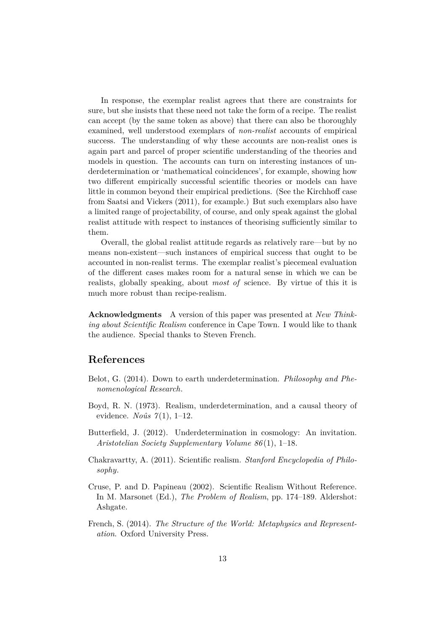In response, the exemplar realist agrees that there are constraints for sure, but she insists that these need not take the form of a recipe. The realist can accept (by the same token as above) that there can also be thoroughly examined, well understood exemplars of *non-realist* accounts of empirical success. The understanding of why these accounts are non-realist ones is again part and parcel of proper scientific understanding of the theories and models in question. The accounts can turn on interesting instances of underdetermination or 'mathematical coincidences', for example, showing how two different empirically successful scientific theories or models can have little in common beyond their empirical predictions. (See the Kirchhoff case from Saatsi and Vickers (2011), for example.) But such exemplars also have a limited range of projectability, of course, and only speak against the global realist attitude with respect to instances of theorising sufficiently similar to them.

Overall, the global realist attitude regards as relatively rare—but by no means non-existent—such instances of empirical success that ought to be accounted in non-realist terms. The exemplar realist's piecemeal evaluation of the different cases makes room for a natural sense in which we can be realists, globally speaking, about *most of* science. By virtue of this it is much more robust than recipe-realism.

**Acknowledgments** A version of this paper was presented at *New Thinking about Scientific Realism* conference in Cape Town. I would like to thank the audience. Special thanks to Steven French.

### **References**

- Belot, G. (2014). Down to earth underdetermination. *Philosophy and Phenomenological Research*.
- Boyd, R. N. (1973). Realism, underdetermination, and a causal theory of evidence. *Noûs 7* (1), 1–12.
- Butterfield, J. (2012). Underdetermination in cosmology: An invitation. *Aristotelian Society Supplementary Volume 86* (1), 1–18.
- Chakravartty, A. (2011). Scientific realism. *Stanford Encyclopedia of Philosophy*.
- Cruse, P. and D. Papineau (2002). Scientific Realism Without Reference. In M. Marsonet (Ed.), *The Problem of Realism*, pp. 174–189. Aldershot: Ashgate.
- French, S. (2014). *The Structure of the World: Metaphysics and Representation*. Oxford University Press.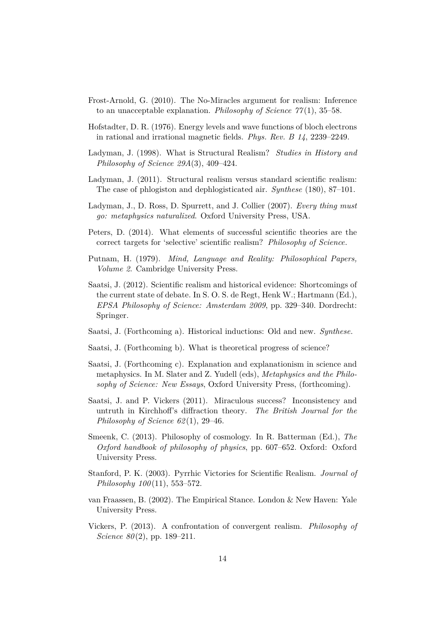- Frost-Arnold, G. (2010). The No-Miracles argument for realism: Inference to an unacceptable explanation. *Philosophy of Science 77* (1), 35–58.
- Hofstadter, D. R. (1976). Energy levels and wave functions of bloch electrons in rational and irrational magnetic fields. *Phys. Rev. B 14*, 2239–2249.
- Ladyman, J. (1998). What is Structural Realism? *Studies in History and Philosophy of Science 29A*(3), 409–424.
- Ladyman, J. (2011). Structural realism versus standard scientific realism: The case of phlogiston and dephlogisticated air. *Synthese* (180), 87–101.
- Ladyman, J., D. Ross, D. Spurrett, and J. Collier (2007). *Every thing must go: metaphysics naturalized*. Oxford University Press, USA.
- Peters, D. (2014). What elements of successful scientific theories are the correct targets for 'selective' scientific realism? *Philosophy of Science*.
- Putnam, H. (1979). *Mind, Language and Reality: Philosophical Papers, Volume 2*. Cambridge University Press.
- Saatsi, J. (2012). Scientific realism and historical evidence: Shortcomings of the current state of debate. In S. O. S. de Regt, Henk W.; Hartmann (Ed.), *EPSA Philosophy of Science: Amsterdam 2009*, pp. 329–340. Dordrecht: Springer.
- Saatsi, J. (Forthcoming a). Historical inductions: Old and new. *Synthese*.
- Saatsi, J. (Forthcoming b). What is theoretical progress of science?
- Saatsi, J. (Forthcoming c). Explanation and explanationism in science and metaphysics. In M. Slater and Z. Yudell (eds), *Metaphysics and the Philosophy of Science: New Essays*, Oxford University Press, (forthcoming).
- Saatsi, J. and P. Vickers (2011). Miraculous success? Inconsistency and untruth in Kirchhoff's diffraction theory. *The British Journal for the Philosophy of Science 62* (1), 29–46.
- Smeenk, C. (2013). Philosophy of cosmology. In R. Batterman (Ed.), *The Oxford handbook of philosophy of physics*, pp. 607–652. Oxford: Oxford University Press.
- Stanford, P. K. (2003). Pyrrhic Victories for Scientific Realism. *Journal of Philosophy 100* (11), 553–572.
- van Fraassen, B. (2002). The Empirical Stance. London & New Haven: Yale University Press.
- Vickers, P. (2013). A confrontation of convergent realism. *Philosophy of Science 80*(2), pp. 189–211.